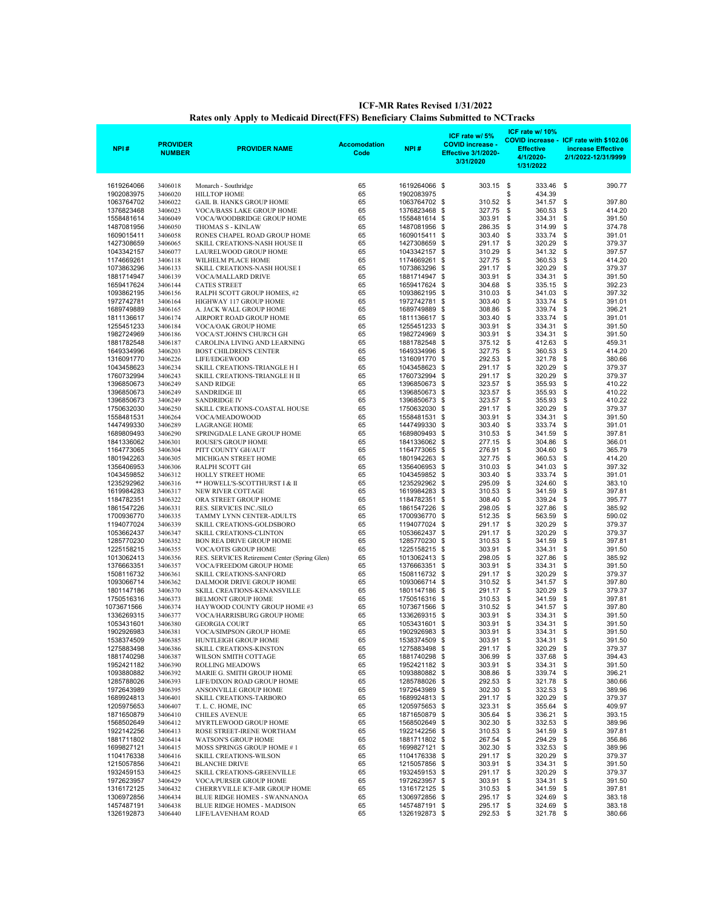| NPI#                     | <b>PROVIDER</b><br><b>NUMBER</b> | <b>PROVIDER NAME</b>                                              | <b>Accomodation</b><br>Code | NPI#                           | ICF rate w/ 5%<br><b>COVID increase</b><br><b>Effective 3/1/2020-</b><br>3/31/2020 | ICF rate w/ 10%<br><b>Effective</b><br>4/1/2020-<br>1/31/2022 | COVID increase - ICF rate with \$102.06<br>increase Effective<br>2/1/2022-12/31/9999 |
|--------------------------|----------------------------------|-------------------------------------------------------------------|-----------------------------|--------------------------------|------------------------------------------------------------------------------------|---------------------------------------------------------------|--------------------------------------------------------------------------------------|
| 1619264066               | 3406018                          | Monarch - Southridge                                              | 65                          | 1619264066 \$                  | 303.15                                                                             | \$<br>333.46                                                  | \$<br>390.77                                                                         |
| 1902083975               | 3406020                          | <b>HILLTOP HOME</b>                                               | 65                          | 1902083975                     |                                                                                    | \$<br>434.39                                                  |                                                                                      |
| 1063764702               | 3406022                          | <b>GAIL B. HANKS GROUP HOME</b>                                   | 65                          | 1063764702 \$                  | 310.52                                                                             | \$<br>341.57                                                  | \$<br>397.80                                                                         |
| 1376823468               | 3406023                          | VOCA/BASS LAKE GROUP HOME                                         | 65                          | 1376823468                     | 327.75<br>\$                                                                       | \$<br>360.53                                                  | \$<br>414.20                                                                         |
| 1558481614               | 3406049                          | VOCA/WOODBRIDGE GROUP HOME<br>THOMAS S - KINLAW                   | 65<br>65                    | 1558481614                     | 303.91<br>\$                                                                       | \$<br>334.31<br>\$                                            | \$<br>391.50<br>\$                                                                   |
| 1487081956<br>1609015411 | 3406050<br>3406058               | RONES CHAPEL ROAD GROUP HOME                                      | 65                          | 1487081956<br>1609015411       | 286.35<br>\$<br>303.40<br>\$                                                       | 314.99<br>\$<br>333.74                                        | 374.78<br>\$<br>391.01                                                               |
| 1427308659               | 3406065                          | SKILL CREATIONS-NASH HOUSE II                                     | 65                          | 1427308659                     | 291.17<br>\$                                                                       | \$<br>320.29                                                  | \$<br>379.37                                                                         |
| 1043342157               | 3406077                          | LAURELWOOD GROUP HOME                                             | 65                          | 1043342157                     | 310.29<br>\$                                                                       | \$<br>341.32                                                  | \$<br>397.57                                                                         |
| 1174669261               | 3406118                          | WILHELM PLACE HOME                                                | 65                          | 1174669261                     | 327.75<br>\$                                                                       | \$<br>360.53                                                  | \$<br>414.20                                                                         |
| 1073863296<br>1881714947 | 3406133<br>3406139               | SKILL CREATIONS-NASH HOUSE I<br>VOCA/MALLARD DRIVE                | 65<br>65                    | 1073863296<br>1881714947 \$    | 291.17<br>\$<br>303.91                                                             | \$<br>320.29<br>\$<br>334.31                                  | \$<br>379.37<br>\$<br>391.50                                                         |
| 1659417624               | 3406144                          | <b>CATES STREET</b>                                               | 65                          | 1659417624                     | 304.68<br>- \$                                                                     | \$<br>335.15                                                  | \$<br>392.23                                                                         |
| 1093862195               | 3406156                          | RALPH SCOTT GROUP HOMES, #2                                       | 65                          | 1093862195                     | 310.03<br>\$                                                                       | \$<br>341.03                                                  | \$<br>397.32                                                                         |
| 1972742781               | 3406164                          | HIGHWAY 117 GROUP HOME                                            | 65                          | 1972742781                     | 303.40<br>\$                                                                       | \$<br>333.74                                                  | \$<br>391.01                                                                         |
| 1689749889<br>1811136617 | 3406165<br>3406174               | A. JACK WALL GROUP HOME<br>AIRPORT ROAD GROUP HOME                | 65<br>65                    | 1689749889<br>1811136617 \$    | \$<br>308.86<br>303.40                                                             | \$<br>339.74<br>\$<br>333.74                                  | \$<br>396.21<br>\$<br>391.01                                                         |
| 1255451233               | 3406184                          | <b>VOCA/OAK GROUP HOME</b>                                        | 65                          | 1255451233                     | 303.91<br>\$                                                                       | \$<br>334.31                                                  | \$<br>391.50                                                                         |
| 1982724969               | 3406186                          | VOCA/ST.JOHN'S CHURCH GH                                          | 65                          | 1982724969                     | 303.91<br>\$                                                                       | \$<br>334.31                                                  | \$<br>391.50                                                                         |
| 1881782548               | 3406187                          | CAROLINA LIVING AND LEARNING                                      | 65                          | 1881782548                     | 375.12<br>\$                                                                       | \$<br>412.63                                                  | \$<br>459.31                                                                         |
| 1649334996<br>1316091770 | 3406203<br>3406226               | <b>BOST CHILDREN'S CENTER</b><br>LIFE/EDGEWOOD                    | 65<br>65                    | 1649334996<br>1316091770       | 327.75<br>\$<br>292.53<br>\$                                                       | \$<br>360.53<br>\$<br>321.78                                  | \$<br>414.20<br>\$<br>380.66                                                         |
| 1043458623               | 3406234                          | SKILL CREATIONS-TRIANGLE H I                                      | 65                          | 1043458623                     | 291.17<br>\$                                                                       | \$<br>320.29                                                  | \$<br>379.37                                                                         |
| 1760732994               | 3406243                          | SKILL CREATIONS-TRIANGLE H II                                     | 65                          | 1760732994                     | \$<br>291.17                                                                       | \$<br>320.29                                                  | \$<br>379.37                                                                         |
| 1396850673               | 3406249                          | <b>SAND RIDGE</b>                                                 | 65                          | 1396850673                     | 323.57<br>\$                                                                       | \$<br>355.93                                                  | \$<br>410.22                                                                         |
| 1396850673<br>1396850673 | 3406249                          | <b>SANDRIDGE III</b>                                              | 65                          | 1396850673                     | \$<br>323.57                                                                       | \$<br>355.93<br>\$                                            | \$<br>410.22                                                                         |
| 1750632030               | 3406249<br>3406250               | <b>SANDRIDGE IV</b><br>SKILL CREATIONS-COASTAL HOUSE              | 65<br>65                    | 1396850673<br>1750632030       | 323.57<br>\$<br>291.17<br>\$                                                       | 355.93<br>\$<br>320.29                                        | \$<br>410.22<br>\$<br>379.37                                                         |
| 1558481531               | 3406264                          | VOCA/MEADOWOOD                                                    | 65                          | 1558481531                     | 303.91<br>\$                                                                       | \$<br>334.31                                                  | \$<br>391.50                                                                         |
| 1447499330               | 3406289                          | <b>LAGRANGE HOME</b>                                              | 65                          | 1447499330                     | 303.40<br>\$                                                                       | \$<br>333.74                                                  | \$<br>391.01                                                                         |
| 1689809493               | 3406290                          | SPRINGDALE LANE GROUP HOME                                        | 65                          | 1689809493                     | \$<br>310.53                                                                       | \$<br>341.59                                                  | \$<br>397.81                                                                         |
| 1841336062<br>1164773065 | 3406301<br>3406304               | ROUSE'S GROUP HOME<br>PITT COUNTY GH/AUT                          | 65<br>65                    | 1841336062<br>1164773065       | 277.15<br>\$<br>276.91<br>\$                                                       | \$<br>304.86<br>\$<br>304.60                                  | \$<br>366.01<br>\$<br>365.79                                                         |
| 1801942263               | 3406305                          | MICHIGAN STREET HOME                                              | 65                          | 1801942263                     | \$<br>327.75                                                                       | \$<br>360.53                                                  | \$<br>414.20                                                                         |
| 1356406953               | 3406306                          | RALPH SCOTT GH                                                    | 65                          | 1356406953                     | 310.03<br>\$                                                                       | \$<br>341.03                                                  | \$<br>397.32                                                                         |
| 1043459852               | 3406312                          | <b>HOLLY STREET HOME</b>                                          | 65                          | 1043459852                     | \$<br>303.40                                                                       | \$<br>333.74                                                  | \$<br>391.01                                                                         |
| 1235292962<br>1619984283 | 3406316<br>3406317               | ** HOWELL'S-SCOTTHURST I & II<br><b>NEW RIVER COTTAGE</b>         | 65<br>65                    | 1235292962<br>1619984283       | 295.09<br>\$<br>310.53<br>\$                                                       | \$<br>324.60<br>\$<br>341.59                                  | \$<br>383.10<br>\$<br>397.81                                                         |
| 1184782351               | 3406322                          | ORA STREET GROUP HOME                                             | 65                          | 1184782351                     | \$<br>308.40                                                                       | \$<br>339.24                                                  | \$<br>395.77                                                                         |
| 1861547226               | 3406331                          | RES. SERVICES INC./SILO                                           | 65                          | 1861547226                     | 298.05<br>\$                                                                       | \$<br>327.86                                                  | \$<br>385.92                                                                         |
| 1700936770               | 3406335                          | TAMMY LYNN CENTER-ADULTS                                          | 65                          | 1700936770                     | \$<br>512.35                                                                       | \$<br>563.59                                                  | \$<br>590.02                                                                         |
| 1194077024<br>1053662437 | 3406339                          | SKILL CREATIONS-GOLDSBORO<br><b>SKILL CREATIONS-CLINTON</b>       | 65<br>65                    | 1194077024<br>1053662437       | 291.17<br>\$<br>291.17<br>\$                                                       | \$<br>320.29<br>\$<br>320.29                                  | \$<br>379.37<br>\$<br>379.37                                                         |
| 1285770230               | 3406347<br>3406352               | <b>BON REA DRIVE GROUP HOME</b>                                   | 65                          | 1285770230                     | \$<br>310.53                                                                       | \$<br>341.59                                                  | \$<br>397.81                                                                         |
| 1225158215               | 3406355                          | <b>VOCA/OTIS GROUP HOME</b>                                       | 65                          | 1225158215                     | 303.91<br>\$                                                                       | \$<br>334.31                                                  | \$<br>391.50                                                                         |
| 1013062413               | 3406356                          | RES. SERVICES Retirement Center (Spring Glen)                     | 65                          | 1013062413                     | 298.05<br>-\$                                                                      | \$<br>327.86                                                  | \$<br>385.92                                                                         |
| 1376663351               | 3406357                          | VOCA/FREEDOM GROUP HOME                                           | 65                          | 1376663351                     | 303.91<br>\$                                                                       | \$<br>334.31                                                  | \$<br>391.50                                                                         |
| 1508116732<br>1093066714 | 3406361<br>3406362               | <b>SKILL CREATIONS-SANFORD</b><br>DALMOOR DRIVE GROUP HOME        | 65<br>65                    | 1508116732<br>1093066714       | 291.17<br>-\$<br>\$<br>310.52                                                      | \$<br>320.29<br>\$<br>341.57                                  | \$<br>379.37<br>\$<br>397.80                                                         |
| 1801147186               | 3406370                          | SKILL CREATIONS-KENANSVILLE                                       | 65                          | 1801147186                     | 291.17<br>\$                                                                       | \$<br>320.29                                                  | \$<br>379.37                                                                         |
| 1750516316               | 3406373                          | <b>BELMONT GROUP HOME</b>                                         | 65                          | 1750516316                     | \$<br>310.53                                                                       | \$<br>341.59                                                  | \$<br>397.81                                                                         |
| 1073671566               | 3406374                          | HAYWOOD COUNTY GROUP HOME #3                                      | 65                          | 1073671566                     | 310.52<br>\$                                                                       | \$<br>341.57                                                  | \$<br>397.80                                                                         |
| 1336269315<br>1053431601 | 3406377<br>3406380               | VOCA/HARRISBURG GROUP HOME<br><b>GEORGIA COURT</b>                | 65<br>65                    | 1336269315<br>1053431601       | 303.91<br>\$<br>\$<br>303.91                                                       | \$<br>334.31<br>\$<br>334.31                                  | \$<br>391.50<br>\$<br>391.50                                                         |
| 1902926983               | 3406381                          | VOCA/SIMPSON GROUP HOME                                           | 65                          | 1902926983 \$                  | 303.91                                                                             | \$<br>334.31                                                  | \$<br>391.50                                                                         |
| 1538374509               | 3406385                          | HUNTLEIGH GROUP HOME                                              | 65                          | 1538374509 \$                  | 303.91                                                                             | - \$<br>334.31                                                | \$<br>391.50                                                                         |
| 1275883498               | 3406386                          | SKILL CREATIONS-KINSTON                                           | 65                          | 1275883498 \$                  | 291.17                                                                             | 320.29<br>\$                                                  | \$<br>379.37                                                                         |
| 1881740298               | 3406387                          | WILSON SMITH COTTAGE<br><b>ROLLING MEADOWS</b>                    | 65                          | 1881740298 \$                  | 306.99                                                                             | \$<br>337.68                                                  | \$<br>394.43<br>391.50                                                               |
| 1952421182<br>1093880882 | 3406390<br>3406392               | MARIE G. SMITH GROUP HOME                                         | 65<br>65                    | 1952421182 \$<br>1093880882 \$ | 303.91<br>308.86                                                                   | \$<br>334.31<br>\$<br>339.74                                  | \$<br>\$<br>396.21                                                                   |
| 1285788026               | 3406393                          | LIFE/DIXON ROAD GROUP HOME                                        | 65                          | 1285788026 \$                  | 292.53                                                                             | \$<br>321.78                                                  | \$<br>380.66                                                                         |
| 1972643989               | 3406395                          | ANSONVILLE GROUP HOME                                             | 65                          | 1972643989 \$                  | 302.30                                                                             | \$<br>332.53                                                  | \$<br>389.96                                                                         |
| 1689924813               | 3406401                          | SKILL CREATIONS-TARBORO                                           | 65                          | 1689924813 \$                  | 291.17                                                                             | \$<br>320.29                                                  | \$<br>379.37                                                                         |
| 1205975653<br>1871650879 | 3406407<br>3406410               | T. L. C. HOME, INC<br><b>CHILES AVENUE</b>                        | 65<br>65                    | 1205975653 \$<br>1871650879 \$ | 323.31<br>305.64                                                                   | \$<br>355.64<br>336.21<br>\$                                  | \$<br>409.97<br>\$<br>393.15                                                         |
| 1568502649               | 3406412                          | MYRTLEWOOD GROUP HOME                                             | 65                          | 1568502649 \$                  | 302.30                                                                             | \$<br>332.53                                                  | \$<br>389.96                                                                         |
| 1922142256               | 3406413                          | ROSE STREET-IRENE WORTHAM                                         | 65                          | 1922142256 \$                  | 310.53                                                                             | \$<br>341.59                                                  | \$<br>397.81                                                                         |
| 1881711802               | 3406414                          | <b>WATSON'S GROUP HOME</b>                                        | 65                          | 1881711802 \$                  | 267.54                                                                             | \$<br>294.29                                                  | \$<br>356.86                                                                         |
| 1699827121<br>1104176338 | 3406415<br>3406416               | MOSS SPRINGS GROUP HOME #1<br>SKILL CREATIONS-WILSON              | 65<br>65                    | 1699827121 \$<br>1104176338 \$ | 302.30<br>291.17                                                                   | 332.53<br>\$<br>320.29<br>\$                                  | \$<br>389.96<br>\$<br>379.37                                                         |
| 1215057856               | 3406421                          | <b>BLANCHE DRIVE</b>                                              | 65                          | 1215057856 \$                  | 303.91                                                                             | \$<br>334.31                                                  | \$<br>391.50                                                                         |
| 1932459153               | 3406425                          | SKILL CREATIONS-GREENVILLE                                        | 65                          | 1932459153 \$                  | 291.17                                                                             | 320.29<br>\$                                                  | \$<br>379.37                                                                         |
| 1972623957               | 3406429                          | VOCA/PURSER GROUP HOME                                            | 65                          | 1972623957 \$                  | 303.91                                                                             | \$<br>334.31                                                  | \$<br>391.50                                                                         |
| 1316172125               | 3406432                          | CHERRYVILLE ICF-MR GROUP HOME                                     | 65                          | 1316172125 \$                  | 310.53                                                                             | 341.59<br>\$                                                  | \$<br>397.81                                                                         |
| 1306972856<br>1457487191 | 3406434<br>3406438               | BLUE RIDGE HOMES - SWANNANOA<br><b>BLUE RIDGE HOMES - MADISON</b> | 65<br>65                    | 1306972856 \$<br>1457487191 \$ | 295.17<br>295.17                                                                   | \$<br>324.69<br>\$<br>324.69                                  | \$<br>383.18<br>\$<br>383.18                                                         |
| 1326192873               | 3406440                          | LIFE/LAVENHAM ROAD                                                | 65                          | 1326192873 \$                  | 292.53 \$                                                                          | 321.78 \$                                                     | 380.66                                                                               |

## **Rates only Apply to Medicaid Direct(FFS) Beneficiary Claims Submitted to NCTracks ICF-MR Rates Revised 1/31/2022**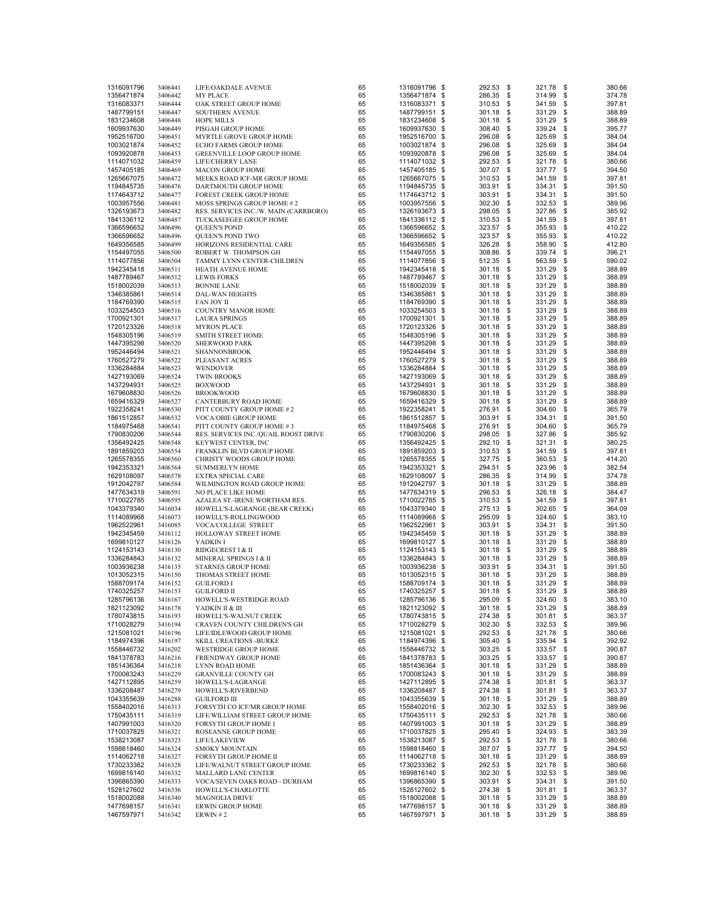| 1316091796 | 3406441 | LIFE/OAKDALE AVENUE                   | 65 | 1316091796 \$ | 292.53      | - \$ | 321.78    | \$   | 380.66 |
|------------|---------|---------------------------------------|----|---------------|-------------|------|-----------|------|--------|
| 1356471874 | 3406442 | <b>MY PLACE</b>                       | 65 | 1356471874 \$ | 286.35      | - \$ | 314.99    | \$   | 374.78 |
| 1316083371 | 3406444 | OAK STREET GROUP HOME                 | 65 | 1316083371 \$ | 310.53 \$   |      | 341.59    | \$   | 397.81 |
| 1487799151 | 3406447 | SOUTHERN AVENUE                       | 65 | 1487799151 \$ | 301.18 \$   |      | 331.29    | \$   | 388.89 |
| 1831234608 | 3406448 | <b>HOPE MILLS</b>                     | 65 | 1831234608 \$ | $301.18$ \$ |      | 331.29    | \$   | 388.89 |
| 1609937630 | 3406449 |                                       | 65 |               | 308.40 \$   |      |           | \$   | 395.77 |
|            |         | PISGAH GROUP HOME                     |    | 1609937630 \$ |             |      | 339.24    |      |        |
| 1952516700 | 3406451 | MYRTLE GROVE GROUP HOME               | 65 | 1952516700 \$ | 296.08      | \$   | 325.69    | \$   | 384.04 |
| 1003021874 | 3406452 | ECHO FARMS GROUP HOME                 | 65 | 1003021874 \$ | 296.08 \$   |      | 325.69    | \$   | 384.04 |
| 1093920878 | 3406453 | GREENVILLE LOOP GROUP HOME            | 65 | 1093920878 \$ | 296.08 \$   |      | 325.69    | \$   | 384.04 |
| 1114071032 | 3406459 | LIFE/CHERRY LANE                      | 65 | 1114071032 \$ | 292.53 \$   |      | 321.78    | \$   | 380.66 |
| 1457405185 | 3406469 | <b>MACON GROUP HOME</b>               | 65 | 1457405185 \$ | 307.07 \$   |      | 337.77    | \$   | 394.50 |
| 1265667075 | 3406472 | MEEKS ROAD ICF-MR GROUP HOME          | 65 | 1265667075 \$ | 310.53 \$   |      | 341.59    | \$   | 397.81 |
| 1194845735 | 3406476 | DARTMOUTH GROUP HOME                  | 65 | 1194845735 \$ | 303.91 \$   |      | 334.31    | \$   | 391.50 |
| 1174643712 | 3406477 | FOREST CREEK GROUP HOME               | 65 | 1174643712 \$ | 303.91 \$   |      | 334.31    | \$   | 391.50 |
| 1003957556 | 3406481 | MOSS SPRINGS GROUP HOME # 2           | 65 | 1003957556 \$ | 302.30 \$   |      | 332.53    | \$   | 389.96 |
| 1326193673 | 3406482 | RES. SERVICES INC./W. MAIN (CARRBORO) | 65 | 1326193673 \$ | 298.05 \$   |      | 327.86    | \$   | 385.92 |
| 1841336112 | 3406487 | TUCKASEEGEE GROUP HOME                | 65 | 1841336112 \$ | 310.53 \$   |      | 341.59    | \$   | 397.81 |
| 1366596652 | 3406496 | <b>QUEEN'S POND</b>                   | 65 | 1366596652 \$ | 323.57 \$   |      | 355.93    | \$   | 410.22 |
| 1366596652 | 3406496 | QUEEN'S POND TWO                      | 65 | 1366596652 \$ | 323.57 \$   |      | 355.93    | \$   | 410.22 |
| 1649356585 | 3406499 | HORIZONS RESIDENTIAL CARE             | 65 | 1649356585 \$ | 326.28 \$   |      | 358.90    | \$   | 412.80 |
| 1154497055 | 3406500 | ROBERT W. THOMPSON GH                 | 65 | 1154497055 \$ | 308.86 \$   |      | 339.74    | \$   | 396.21 |
|            |         |                                       | 65 | 1114077856 \$ | 512.35 \$   |      | 563.59    | \$   | 590.02 |
| 1114077856 | 3406504 | TAMMY LYNN CENTER-CHILDREN            |    |               |             |      |           |      |        |
| 1942345418 | 3406511 | HEATH AVENUE HOME                     | 65 | 1942345418 \$ | 301.18 \$   |      | 331.29    | \$   | 388.89 |
| 1487789467 | 3406512 | <b>LEWIS FORKS</b>                    | 65 | 1487789467 \$ | 301.18 \$   |      | 331.29    | \$   | 388.89 |
| 1518002039 | 3406513 | <b>BONNIE LANE</b>                    | 65 | 1518002039 \$ | 301.18 \$   |      | 331.29    | \$   | 388.89 |
| 1346385861 | 3406514 | DAL-WAN HEIGHTS                       | 65 | 1346385861 \$ | 301.18 \$   |      | 331.29    | \$   | 388.89 |
| 1184769390 | 3406515 | FAN JOY II                            | 65 | 1184769390 \$ | 301.18 \$   |      | 331.29    | \$   | 388.89 |
| 1033254503 | 3406516 | <b>COUNTRY MANOR HOME</b>             | 65 | 1033254503 \$ | 301.18 \$   |      | 331.29    | \$   | 388.89 |
| 1700921301 | 3406517 | <b>LAURA SPRINGS</b>                  | 65 | 1700921301 \$ | 301.18 \$   |      | 331.29    | \$   | 388.89 |
| 1720123326 | 3406518 | <b>MYRON PLACE</b>                    | 65 | 1720123326 \$ | 301.18 \$   |      | 331.29    | \$   | 388.89 |
| 1548305196 | 3406519 | <b>SMITH STREET HOME</b>              | 65 | 1548305196 \$ | 301.18 \$   |      | 331.29    | \$   | 388.89 |
| 1447395298 | 3406520 | <b>SHERWOOD PARK</b>                  | 65 | 1447395298 \$ | 301.18 \$   |      | 331.29    | \$   | 388.89 |
| 1952446494 | 3406521 | SHANNONBROOK                          | 65 | 1952446494 \$ | 301.18 \$   |      | 331.29    | \$   | 388.89 |
| 1760527279 | 3406522 | PLEASANT ACRES                        | 65 | 1760527279 \$ | 301.18 \$   |      | 331.29    | \$   | 388.89 |
| 1336284884 | 3406523 | <b>WENDOVER</b>                       | 65 | 1336284884 \$ | 301.18 \$   |      | 331.29    | \$   | 388.89 |
| 1427193069 | 3406524 | <b>TWIN BROOKS</b>                    | 65 | 1427193069 \$ | 301.18 \$   |      | 331.29    | \$   | 388.89 |
| 1437294931 | 3406525 | <b>BOXWOOD</b>                        | 65 | 1437294931 \$ | 301.18 \$   |      | 331.29    | \$   | 388.89 |
|            |         |                                       | 65 |               |             |      |           | \$   |        |
| 1679608830 | 3406526 | <b>BROOKWOOD</b>                      |    | 1679608830 \$ | 301.18 \$   |      | 331.29    |      | 388.89 |
| 1659416329 | 3406527 | CANTERBURY ROAD HOME                  | 65 | 1659416329 \$ | 301.18 \$   |      | 331.29    | \$   | 388.89 |
| 1922358241 | 3406530 | PITT COUNTY GROUP HOME #2             | 65 | 1922358241 \$ | 276.91 \$   |      | 304.60    | \$   | 365.79 |
| 1861512857 | 3406532 | <b>VOCA/OBIE GROUP HOME</b>           | 65 | 1861512857 \$ | 303.91 \$   |      | 334.31    | \$   | 391.50 |
| 1184975468 | 3406541 | PITT COUNTY GROUP HOME #3             | 65 | 1184975468 \$ | 276.91 \$   |      | 304.60    | \$   | 365.79 |
| 1790830206 | 3406544 | RES. SERVICES INC./QUAIL ROOST DRIVE  | 65 | 1790830206 \$ | 298.05 \$   |      | 327.86    | \$   | 385.92 |
| 1356492425 | 3406548 | KEYWEST CENTER, INC                   | 65 | 1356492425 \$ | 292.10 \$   |      | 321.31    | \$   | 380.25 |
| 1891859203 | 3406554 | FRANKLIN BLVD GROUP HOME              | 65 | 1891859203 \$ | 310.53 \$   |      | 341.59    | \$   | 397.81 |
| 1265578355 | 3406560 | CHRISTY WOODS GROUP HOME              | 65 | 1265578355 \$ | 327.75 \$   |      | 360.53    | \$   | 414.20 |
| 1942353321 | 3406564 | <b>SUMMERLYN HOME</b>                 | 65 | 1942353321 \$ | 294.51 \$   |      | 323.96    | \$   | 382.54 |
| 1629108097 | 3406578 | EXTRA SPECIAL CARE                    | 65 | 1629108097 \$ | 286.35 \$   |      | 314.99    | \$   | 374.78 |
| 1912042797 | 3406584 | WILMINGTON ROAD GROUP HOME            | 65 | 1912042797 \$ | 301.18 \$   |      | 331.29    | \$   | 388.89 |
| 1477634319 | 3406591 | NO PLACE LIKE HOME                    | 65 | 1477634319 \$ | 296.53 \$   |      | 326.18    | \$   | 384.47 |
| 1710022785 | 3406595 | AZALEA ST.-IRENE WORTHAM RES.         | 65 | 1710022785 \$ | 310.53 \$   |      | 341.59    | \$   | 397.81 |
| 1043379340 | 3416034 | HOWELL'S-LAGRANGE (BEAR CREEK)        | 65 | 1043379340 \$ | 275.13 \$   |      | 302.65    | \$   | 364.09 |
| 1114089968 | 3416073 | HOWELL'S-ROLLINGWOOD                  | 65 | 1114089968 \$ | 295.09 \$   |      | 324.60    | \$   | 383.10 |
| 1962522961 | 3416085 | VOCA/COLLEGE STREET                   | 65 | 1962522961 \$ | 303.91 \$   |      | 334.31    | \$   | 391.50 |
| 1942345459 | 3416112 | HOLLOWAY STREET HOME                  | 65 | 1942345459 \$ | 301.18 \$   |      | 331.29    | \$   | 388.89 |
| 1699810127 | 3416126 | YADKIN I                              | 65 | 1699810127 \$ | 301.18 \$   |      | 331.29    | \$   | 388.89 |
| 1124153143 |         | RIDGECREST I & II                     | 65 | 1124153143 \$ | 301.18 \$   |      | 331.29    | \$   | 388.89 |
|            | 3416130 |                                       |    |               |             |      |           |      |        |
| 1336284843 | 3416132 | MINERAL SPRINGS I & II                | 65 | 1336284843 \$ | 301.18 \$   |      | 331.29    | \$   | 388.89 |
| 1003936238 | 3416135 | <b>STARNES GROUP HOME</b>             | 65 | 1003936238 \$ | 303.91 \$   |      | 334.31    | \$   | 391.50 |
| 1013052315 | 3416150 | THOMAS STREET HOME                    | 65 | 1013052315 \$ | $301.18$ \$ |      | 331.29    | \$   | 388.89 |
| 1588709174 | 3416152 | <b>GUILFORD I</b>                     | 65 | 1588709174 \$ | 301.18 \$   |      | 331.29    | \$   | 388.89 |
| 1740325257 | 3416153 | <b>GUILFORD II</b>                    | 65 | 1740325257 \$ | 301.18 \$   |      | 331.29    | -\$  | 388.89 |
| 1285796136 | 3416167 | HOWELL'S-WESTRIDGE ROAD               | 65 | 1285796136 \$ | 295.09      | - \$ | 324.60    | - \$ | 383.10 |
| 1821123092 | 3416178 | YADKIN II & III                       | 65 | 1821123092 \$ | 301.18 \$   |      | 331.29    | \$   | 388.89 |
| 1780743815 | 3416193 | HOWELL'S-WALNUT CREEK                 | 65 | 1780743815 \$ | 274.38 \$   |      | 301.81    | \$   | 363.37 |
| 1710028279 | 3416194 | CRAVEN COUNTY CHILDREN'S GH           | 65 | 1710028279 \$ | 302.30 \$   |      | 332.53    | \$   | 389.96 |
| 1215081021 | 3416196 | LIFE/IDLEWOOD GROUP HOME              | 65 | 1215081021 \$ | 292.53      | \$   | 321.78    | \$   | 380.66 |
| 1184974396 | 3416197 | <b>SKILL CREATIONS -BURKE</b>         | 65 | 1184974396 \$ | 305.40      | \$   | 335.94    | \$   | 392.92 |
| 1558446732 | 3416202 | WESTRIDGE GROUP HOME                  | 65 | 1558446732 \$ | 303.25      | \$   | 333.57    | \$   | 390.87 |
| 1841378783 | 3416216 | FRIENDWAY GROUP HOME                  | 65 | 1841378783 \$ | 303.25      | \$   | 333.57    | \$   | 390.87 |
| 1851436364 | 3416218 | LYNN ROAD HOME                        | 65 | 1851436364 \$ | 301.18 \$   |      | 331.29    | \$   | 388.89 |
| 1700083243 | 3416229 | <b>GRANVILLE COUNTY GH</b>            | 65 | 1700083243 \$ | 301.18      | \$   | 331.29    | \$   | 388.89 |
| 1427112895 | 3416259 | HOWELL'S-LAGRANGE                     | 65 | 1427112895 \$ | 274.38      | \$   | 301.81    | \$   | 363.37 |
| 1336208487 | 3416279 | HOWELL'S-RIVERBEND                    | 65 | 1336208487 \$ | 274.38      | \$   | 301.81    | \$   | 363.37 |
| 1043355639 | 3416288 | <b>GUILFORD III</b>                   | 65 | 1043355639 \$ | 301.18 \$   |      | 331.29    | \$   | 388.89 |
| 1558402016 | 3416313 | FORSYTH CO ICF/MR GROUP HOME          | 65 | 1558402016 \$ | 302.30 \$   |      | 332.53    | \$   | 389.96 |
| 1750435111 | 3416319 | LIFE/WILLIAM STREET GROUP HOME        | 65 | 1750435111 \$ | 292.53      | \$   | 321.78    | \$   | 380.66 |
| 1407991003 |         |                                       | 65 | 1407991003 \$ | 301.18      | \$   | 331.29    | \$   | 388.89 |
|            | 3416320 | FORSYTH GROUP HOME I                  |    |               |             |      |           |      |        |
| 1710037825 | 3416321 | ROSEANNE GROUP HOME                   | 65 | 1710037825 \$ | 295.40      | \$   | 324.93    | \$   | 383.39 |
| 1538213087 | 3416323 | LIFE/LAKEVIEW                         | 65 | 1538213087 \$ | 292.53      | \$   | 321.78    | \$   | 380.66 |
| 1598818460 | 3416324 | <b>SMOKY MOUNTAIN</b>                 | 65 | 1598818460 \$ | 307.07 \$   |      | 337.77    | \$   | 394.50 |
| 1114062718 | 3416327 | FORSYTH GROUP HOME II                 | 65 | 1114062718 \$ | 301.18      | \$   | 331.29    | \$   | 388.89 |
| 1730233362 | 3416328 | LIFE/WALNUT STREET GROUP HOME         | 65 | 1730233362 \$ | 292.53      | \$   | 321.78    | \$   | 380.66 |
| 1699816140 | 3416332 | MALLARD LANE CENTER                   | 65 | 1699816140 \$ | 302.30 \$   |      | 332.53    | \$   | 389.96 |
| 1396865390 | 3416333 | VOCA/SEVEN OAKS ROAD - DURHAM         | 65 | 1396865390 \$ | 303.91 \$   |      | 334.31    | \$   | 391.50 |
| 1528127602 | 3416336 | HOWELL'S-CHARLOTTE                    | 65 | 1528127602 \$ | 274.38 \$   |      | 301.81    | \$   | 363.37 |
| 1518002088 | 3416340 | <b>MAGNOLIA DRIVE</b>                 | 65 | 1518002088 \$ | 301.18      | \$   | 331.29    | \$   | 388.89 |
| 1477698157 | 3416341 | <b>ERWIN GROUP HOME</b>               | 65 | 1477698157 \$ | 301.18 \$   |      | 331.29    | \$   | 388.89 |
| 1467597971 | 3416342 | ERWIN $#2$                            | 65 | 1467597971 \$ | 301.18 \$   |      | 331.29 \$ |      | 388.89 |
|            |         |                                       |    |               |             |      |           |      |        |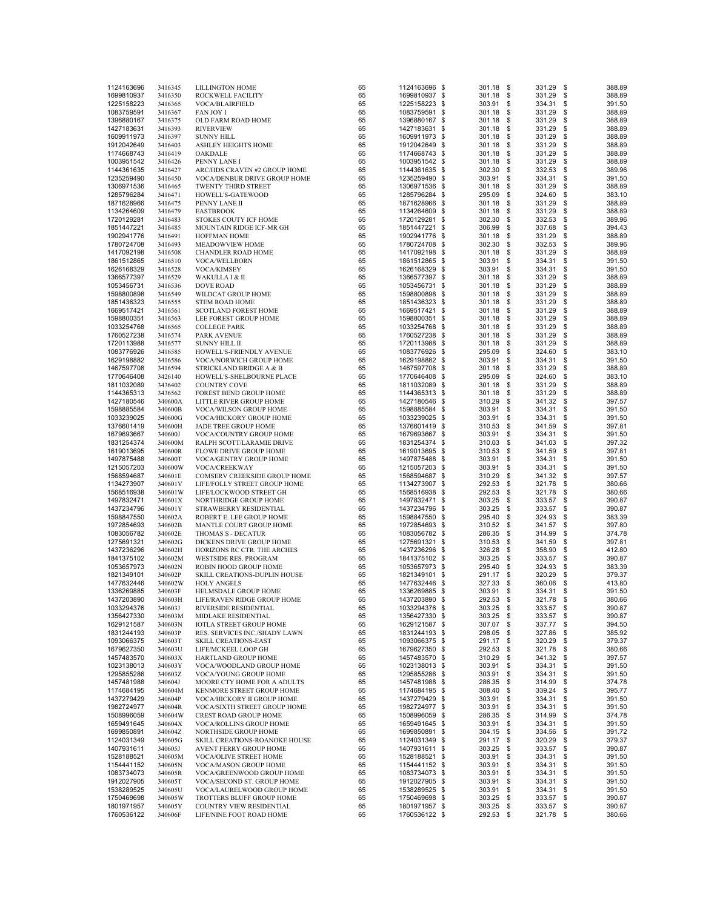| 1124163696               | 3416345            | <b>LILLINGTON HOME</b>                               | 65       | 1124163696 \$                  | 301.18              | - \$ | 331.29           | \$       | 388.89           |
|--------------------------|--------------------|------------------------------------------------------|----------|--------------------------------|---------------------|------|------------------|----------|------------------|
|                          |                    |                                                      |          |                                |                     |      |                  |          |                  |
| 1699810937               | 3416350            | ROCKWELL FACILITY                                    | 65       | 1699810937 \$                  | 301.18 \$           |      | 331.29           | \$       | 388.89           |
| 1225158223               | 3416365            | VOCA/BLAIRFIELD                                      | 65       | 1225158223 \$                  | 303.91 \$           |      | 334.31           | \$       | 391.50           |
| 1083759591               | 3416367            | <b>FAN JOY I</b>                                     | 65       | 1083759591 \$                  | 301.18 \$           |      | 331.29           | \$       | 388.89           |
| 1396880167               | 3416375            | OLD FARM ROAD HOME                                   | 65       | 1396880167 \$                  | $301.18$ \$         |      | 331.29           | \$       | 388.89           |
|                          |                    |                                                      |          |                                |                     |      |                  |          |                  |
| 1427183631               | 3416393            | <b>RIVERVIEW</b>                                     | 65       | 1427183631 \$                  | 301.18 \$           |      | 331.29           | \$       | 388.89           |
| 1609911973               | 3416397            | <b>SUNNY HILL</b>                                    | 65       | 1609911973 \$                  | $301.18$ \$         |      | 331.29           | \$       | 388.89           |
| 1912042649               | 3416403            | <b>ASHLEY HEIGHTS HOME</b>                           | 65       | 1912042649 \$                  | 301.18              | \$   | 331.29           | \$       | 388.89           |
| 1174668743               | 3416419            | OAKDALE                                              | 65       | 1174668743 \$                  | 301.18 \$           |      | 331.29           | \$       | 388.89           |
|                          |                    |                                                      |          |                                | 301.18 \$           |      |                  |          |                  |
| 1003951542               | 3416426            | PENNY LANE I                                         | 65       | 1003951542 \$                  |                     |      | 331.29           | \$       | 388.89           |
| 1144361635               | 3416427            | ARC/HDS CRAVEN #2 GROUP HOME                         | 65       | 1144361635 \$                  | 302.30              | \$   | 332.53           | \$       | 389.96           |
| 1235259490               | 3416450            | VOCA/DENBUR DRIVE GROUP HOME                         | 65       | 1235259490 \$                  | 303.91              | \$   | 334.31           | \$       | 391.50           |
| 1306971536               | 3416465            | TWENTY THIRD STREET                                  | 65       | 1306971536 \$                  | 301.18              | \$   | 331.29           | \$       | 388.89           |
| 1285796284               |                    |                                                      | 65       | 1285796284 \$                  | 295.09 \$           |      | 324.60           | \$       | 383.10           |
|                          | 3416471            | HOWELL'S-GATEWOOD                                    |          |                                |                     |      |                  |          |                  |
| 1871628966               | 3416475            | PENNY LANE II                                        | 65       | 1871628966 \$                  | $301.18$ \$         |      | 331.29           | \$       | 388.89           |
| 1134264609               | 3416479            | <b>EASTBROOK</b>                                     | 65       | 1134264609 \$                  | 301.18              | - \$ | 331.29           | \$       | 388.89           |
| 1720129281               | 3416483            | STOKES COUTY ICF HOME                                | 65       | 1720129281 \$                  | 302.30              | \$   | 332.53           | \$       | 389.96           |
| 1851447221               | 3416485            | MOUNTAIN RIDGE ICF-MR GH                             | 65       | 1851447221 \$                  | 306.99              | \$   | 337.68           | \$       | 394.43           |
|                          |                    |                                                      |          |                                |                     |      |                  |          |                  |
| 1902941776               | 3416491            | <b>HOFFMAN HOME</b>                                  | 65       | 1902941776 \$                  | 301.18              | - \$ | 331.29           | \$       | 388.89           |
| 1780724708               | 3416493            | MEADOWVIEW HOME                                      | 65       | 1780724708 \$                  | 302.30 \$           |      | 332.53           | \$       | 389.96           |
| 1417092198               | 3416508            | <b>CHANDLER ROAD HOME</b>                            | 65       | 1417092198 \$                  | 301.18              | \$   | 331.29           | \$       | 388.89           |
| 1861512865               | 3416510            | VOCA/WELLBORN                                        | 65       | 1861512865 \$                  | 303.91              | \$   | 334.31           | \$       | 391.50           |
|                          |                    |                                                      |          |                                |                     |      |                  |          |                  |
| 1626168329               | 3416528            | VOCA/KIMSEY                                          | 65       | 1626168329 \$                  | 303.91              | \$   | 334.31           | \$       | 391.50           |
| 1366577397               | 3416529            | WAKULLA I & II                                       | 65       | 1366577397 \$                  | 301.18 \$           |      | 331.29           | \$       | 388.89           |
| 1053456731               | 3416536            | <b>DOVE ROAD</b>                                     | 65       | 1053456731 \$                  | 301.18 \$           |      | 331.29           | \$       | 388.89           |
| 1598800898               | 3416549            | WILDCAT GROUP HOME                                   | 65       | 1598800898 \$                  | 301.18 \$           |      | 331.29           | \$       | 388.89           |
|                          |                    |                                                      | 65       |                                | $301.18$ \$         |      |                  | \$       | 388.89           |
| 1851436323               | 3416555            | <b>STEM ROAD HOME</b>                                |          | 1851436323 \$                  |                     |      | 331.29           |          |                  |
| 1669517421               | 3416561            | <b>SCOTLAND FOREST HOME</b>                          | 65       | 1669517421 \$                  | 301.18              | \$   | 331.29           | \$       | 388.89           |
| 1598800351               | 3416563            | LEE FOREST GROUP HOME                                | 65       | 1598800351 \$                  | 301.18 \$           |      | 331.29           | \$       | 388.89           |
| 1033254768               | 3416565            | <b>COLLEGE PARK</b>                                  | 65       | 1033254768 \$                  | 301.18 \$           |      | 331.29           | \$       | 388.89           |
|                          |                    |                                                      | 65       |                                |                     |      |                  | \$       |                  |
| 1760527238               | 3416574            | <b>PARK AVENUE</b>                                   |          | 1760527238 \$                  | 301.18 \$           |      | 331.29           |          | 388.89           |
| 1720113988               | 3416577            | SUNNY HILL II                                        | 65       | 1720113988 \$                  | 301.18              | \$   | 331.29           | \$       | 388.89           |
| 1083776926               | 3416585            | HOWELL'S-FRIENDLY AVENUE                             | 65       | 1083776926 \$                  | 295.09              | \$   | 324.60           | \$       | 383.10           |
| 1629198882               | 3416586            | VOCA/NORWICH GROUP HOME                              | 65       | 1629198882 \$                  | 303.91 \$           |      | 334.31           | \$       | 391.50           |
|                          |                    |                                                      |          |                                |                     |      |                  |          |                  |
| 1467597708               | 3416594            | STRICKLAND BRIDGE A & B                              | 65       | 1467597708 \$                  | 301.18 \$           |      | 331.29           | \$       | 388.89           |
| 1770646408               | 3426140            | HOWELL'S-SHELBOURNE PLACE                            | 65       | 1770646408 \$                  | 295.09 \$           |      | 324.60           | \$       | 383.10           |
| 1811032089               | 3436402            | <b>COUNTRY COVE</b>                                  | 65       | 1811032089 \$                  | $301.18$ \$         |      | 331.29           | \$       | 388.89           |
| 1144365313               | 3436562            | FOREST BEND GROUP HOME                               | 65       | 1144365313 \$                  | 301.18              | \$   | 331.29           | \$       | 388.89           |
|                          |                    |                                                      |          |                                |                     |      |                  |          |                  |
| 1427180546               | 340600A            | LITTLE RIVER GROUP HOME                              | 65       | 1427180546 \$                  | 310.29 \$           |      | 341.32           | \$       | 397.57           |
| 1598885584               | 340600B            | VOCA/WILSON GROUP HOME                               | 65       | 1598885584 \$                  | 303.91 \$           |      | 334.31           | \$       | 391.50           |
| 1033239025               | 340600G            | VOCA/HICKORY GROUP HOME                              | 65       | 1033239025 \$                  | 303.91              | \$   | 334.31           | \$       | 391.50           |
| 1376601419               | 340600H            | JADE TREE GROUP HOME                                 | 65       | 1376601419 \$                  | 310.53              | \$   | 341.59           | \$       | 397.81           |
|                          |                    |                                                      |          |                                |                     |      |                  |          |                  |
| 1679693667               | 340600J            | VOCA/COUNTRY GROUP HOME                              | 65       | 1679693667 \$                  | 303.91              | \$   | 334.31           | \$       | 391.50           |
| 1831254374               | 340600M            | RALPH SCOTT/LARAMIE DRIVE                            | 65       | 1831254374 \$                  | 310.03 \$           |      | 341.03           | \$       | 397.32           |
| 1619013695               | 340600R            | FLOWE DRIVE GROUP HOME                               | 65       | 1619013695 \$                  | 310.53 \$           |      | 341.59           | \$       | 397.81           |
| 1497875488               | 340600T            | VOCA/GENTRY GROUP HOME                               | 65       | 1497875488 \$                  | 303.91              | \$   | 334.31           | \$       | 391.50           |
|                          |                    |                                                      | 65       |                                |                     | \$   |                  | \$       |                  |
| 1215057203               | 340600W            | VOCA/CREEKWAY                                        |          | 1215057203 \$                  | 303.91              |      | 334.31           |          | 391.50           |
| 1568594687               | 340601E            | COMSERV CREEKSIDE GROUP HOME                         | 65       | 1568594687 \$                  | 310.29              | \$   | 341.32           | \$       | 397.57           |
| 1134273907               | 340601V            | LIFE/FOLLY STREET GROUP HOME                         | 65       | 1134273907 \$                  | 292.53              | \$   | 321.78           | \$       | 380.66           |
| 1568516938               | 340601W            | LIFE/LOCKWOOD STREET GH                              | 65       | 1568516938 \$                  | 292.53              | \$   | 321.78           | \$       | 380.66           |
|                          |                    |                                                      |          |                                |                     |      |                  |          |                  |
| 1497832471               | 340601X            | NORTHRIDGE GROUP HOME                                | 65       | 1497832471 \$                  | 303.25              | \$   | 333.57           | \$       | 390.87           |
| 1437234796               | 340601Y            | STRAWBERRY RESIDENTIAL                               | 65       | 1437234796 \$                  | 303.25              | \$   | 333.57           | \$       | 390.87           |
| 1598847550               | 340602A            | ROBERT E. LEE GROUP HOME                             | 65       | 1598847550 \$                  | 295.40              | \$   | 324.93           | \$       | 383.39           |
| 1972854693               | 340602B            | MANTLE COURT GROUP HOME                              | 65       | 1972854693 \$                  | 310.52              | \$   | 341.57           | \$       | 397.80           |
|                          |                    |                                                      |          |                                |                     |      |                  |          |                  |
| 1083056782               | 340602E            | THOMAS S - DECATUR                                   | 65       | 1083056782 \$                  | 286.35              | \$   | 314.99           | \$       | 374.78           |
| 1275691321               | 340602G            | DICKENS DRIVE GROUP HOME                             | 65       | 1275691321 \$                  | 310.53              | \$   | 341.59           | \$       | 397.81           |
| 1437236296               | 340602H            | HORIZONS RC CTR. THE ARCHES                          | 65       | 1437236296 \$                  | 326.28              | \$   | 358.90           | \$       | 412.80           |
| 1841375102               | 340602M            | <b>WESTSIDE RES. PROGRAM</b>                         | 65       | 1841375102 \$                  | 303.25              | \$   | 333.57           | \$       | 390.87           |
|                          |                    |                                                      |          |                                |                     |      |                  |          |                  |
| 1053657973               | 340602N            | ROBIN HOOD GROUP HOME                                | 65       | 1053657973 \$                  | 295.40 \$           |      | 324.93           | \$       | 383.39           |
| 1821349101               | 340602P            | SKILL CREATIONS-DUPLIN HOUSE                         | 65       | 1821349101 \$                  | 291.17 \$           |      | 320.29           | \$       | 379.37           |
| 1477632446               | 340602W            | <b>HOLY ANGELS</b>                                   | 65       | 1477632446 \$                  | 327.33              | \$   | 360.06           | \$       | 413.80           |
| 1336269885               | 340603F            | HELMSDALE GROUP HOME                                 | 65       | 1336269885 \$                  | 303.91              | \$   | 334.31           | \$       | 391.50           |
|                          | 340603H            | LIFE/RAVEN RIDGE GROUP HOME                          | 65       |                                | 292.53              | \$   | 321.78           | \$       | 380.66           |
| 1437203890               |                    |                                                      |          | 1437203890 \$                  |                     |      |                  |          |                  |
| 1033294376               | 340603J            | RIVERSIDE RESIDENTIAL                                | 65       | 1033294376 \$                  | 303.25              | \$   | 333.57           | \$       | 390.87           |
| 1356427330               | 340603M            | MIDLAKE RESIDENTIAL                                  | 65       | 1356427330 \$                  | 303.25              | \$   | 333.57           | \$       | 390.87           |
| 1629121587               | 340603N            | <b>IOTLA STREET GROUP HOME</b>                       | 65       | 1629121587 \$                  | 307.07              | \$   | 337.77           | \$       | 394.50           |
| 1831244193               | 340603P            | RES. SERVICES INC./SHADY LAWN                        | 65       | 1831244193 \$                  | 298.05              | \$   | 327.86           | \$       | 385.92           |
|                          |                    |                                                      |          |                                |                     |      |                  |          |                  |
| 1093066375               | 340603T            | <b>SKILL CREATIONS-EAST</b>                          | 65       | 1093066375 \$                  | 291.17              | \$   | 320.29           | \$       | 379.37           |
| 1679627350               | 340603U            | LIFE/MCKEEL LOOP GH                                  | 65       | 1679627350 \$                  | 292.53              | \$   | 321.78           | \$       | 380.66           |
| 1457483570               | 340603X            | HARTLAND GROUP HOME                                  | 65       | 1457483570 \$                  | 310.29              | \$   | 341.32           | \$       | 397.57           |
|                          |                    |                                                      |          |                                |                     |      |                  |          |                  |
| 1023138013               | 340603Y            | VOCA/WOODLAND GROUP HOME                             | 65       | 1023138013 \$                  | 303.91              | \$   | 334.31           | \$       | 391.50           |
| 1295855286               | 340603Z            | VOCA/YOUNG GROUP HOME                                | 65       | 1295855286 \$                  | 303.91              | \$   | 334.31           | \$       | 391.50           |
| 1457481988               | 340604J            | MOORE CTY HOME FOR A ADULTS                          | 65       | 1457481988 \$                  | 286.35              | \$   | 314.99           | \$       | 374.78           |
| 1174684195               | 340604M            | KENMORE STREET GROUP HOME                            | 65       | 1174684195 \$                  | 308.40              | \$   | 339.24           | \$       | 395.77           |
|                          |                    |                                                      |          | 1437279429 \$                  |                     | \$   |                  |          |                  |
| 1437279429               | 340604P            | VOCA/HICKORY II GROUP HOME                           | 65       |                                | 303.91              |      | 334.31           | \$       | 391.50           |
| 1982724977               | 340604R            | VOCA/SIXTH STREET GROUP HOME                         | 65       | 1982724977 \$                  | 303.91              | \$   | 334.31           | \$       | 391.50           |
| 1508996059               | 340604W            | <b>CREST ROAD GROUP HOME</b>                         | 65       | 1508996059 \$                  | 286.35              | \$   | 314.99           | \$       | 374.78           |
| 1659491645               | 340604X            | <b>VOCA/ROLLINS GROUP HOME</b>                       | 65       | 1659491645 \$                  | 303.91              | \$   | 334.31           | \$       | 391.50           |
|                          |                    |                                                      |          |                                |                     |      |                  |          |                  |
| 1699850891               | 340604Z            | NORTHSIDE GROUP HOME                                 | 65       | 1699850891 \$                  | 304.15              | \$   | 334.56           | \$       | 391.72           |
| 1124031349               | 340605G            | SKILL CREATIONS-ROANOKE HOUSE                        | 65       | 1124031349 \$                  | 291.17              | \$   | 320.29           | \$       | 379.37           |
| 1407931611               | 340605J            | AVENT FERRY GROUP HOME                               | 65       | 1407931611 \$                  | 303.25              | \$   | 333.57           | \$       | 390.87           |
| 1528188521               | 340605M            | VOCA/OLIVE STREET HOME                               | 65       | 1528188521 \$                  | 303.91              | \$   | 334.31           | \$       | 391.50           |
|                          | 340605N            | <b>VOCA/MASON GROUP HOME</b>                         | 65       |                                | 303.91              | \$   | 334.31           | \$       |                  |
| 1154441152               |                    |                                                      |          | 1154441152 \$                  |                     |      |                  |          | 391.50           |
| 1083734073               | 340605R            | VOCA/GREENWOOD GROUP HOME                            | 65       | 1083734073 \$                  | 303.91              | \$   | 334.31           | \$       | 391.50           |
| 1912027905               | 340605T            | VOCA/SECOND ST. GROUP HOME                           | 65       | 1912027905 \$                  | 303.91              | \$   | 334.31           | \$       | 391.50           |
| 1538289525               |                    |                                                      |          |                                |                     |      |                  |          |                  |
|                          |                    |                                                      |          |                                |                     | \$   |                  |          |                  |
|                          | 340605U            | VOCA/LAURELWOOD GROUP HOME                           | 65       | 1538289525 \$                  | 303.91              |      | 334.31           | \$       | 391.50           |
| 1750469698               | 340605W            | TROTTERS BLUFF GROUP HOME                            | 65       | 1750469698 \$                  | 303.25              | \$   | 333.57           | \$       | 390.87           |
| 1801971957<br>1760536122 | 340605Y<br>340606F | COUNTRY VIEW RESIDENTIAL<br>LIFE/NINE FOOT ROAD HOME | 65<br>65 | 1801971957 \$<br>1760536122 \$ | 303.25<br>292.53 \$ | \$   | 333.57<br>321.78 | \$<br>\$ | 390.87<br>380.66 |